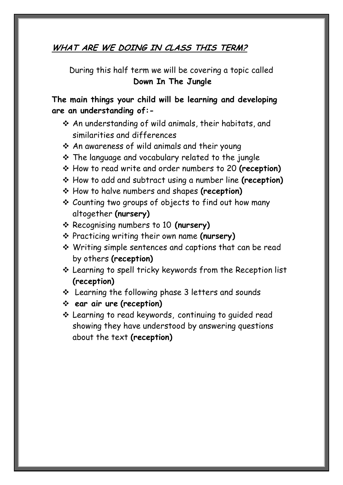#### **WHAT ARE WE DOING IN CLASS THIS TERM?**

During this half term we will be covering a topic called **Down In The Jungle**

**The main things your child will be learning and developing are an understanding of:-**

- An understanding of wild animals, their habitats, and similarities and differences
- An awareness of wild animals and their young
- \* The language and vocabulary related to the jungle
- How to read write and order numbers to 20 **(reception)**
- How to add and subtract using a number line **(reception)**
- How to halve numbers and shapes **(reception)**
- Counting two groups of objects to find out how many altogether **(nursery)**
- Recognising numbers to 10 **(nursery)**
- Practicing writing their own name **(nursery)**
- Writing simple sentences and captions that can be read by others **(reception)**
- Learning to spell tricky keywords from the Reception list **(reception)**
- Learning the following phase 3 letters and sounds
- **ear air ure (reception)**
- Learning to read keywords, continuing to guided read showing they have understood by answering questions about the text **(reception)**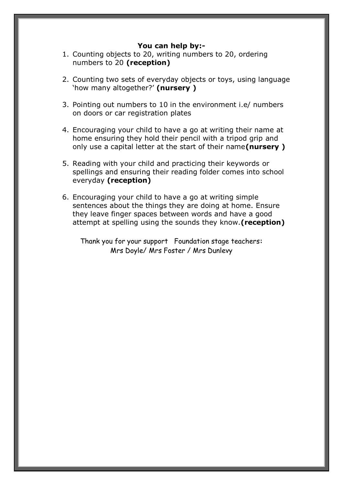#### **You can help by:-**

- 1. Counting objects to 20, writing numbers to 20, ordering numbers to 20 **(reception)**
- 2. Counting two sets of everyday objects or toys, using language 'how many altogether?' **(nursery )**
- 3. Pointing out numbers to 10 in the environment i.e/ numbers on doors or car registration plates
- 4. Encouraging your child to have a go at writing their name at home ensuring they hold their pencil with a tripod grip and only use a capital letter at the start of their name**(nursery )**
- 5. Reading with your child and practicing their keywords or spellings and ensuring their reading folder comes into school everyday **(reception)**
- 6. Encouraging your child to have a go at writing simple sentences about the things they are doing at home. Ensure they leave finger spaces between words and have a good attempt at spelling using the sounds they know.**(reception)**

Thank you for your support Foundation stage teachers**:** Mrs Doyle/ Mrs Foster / Mrs Dunlevy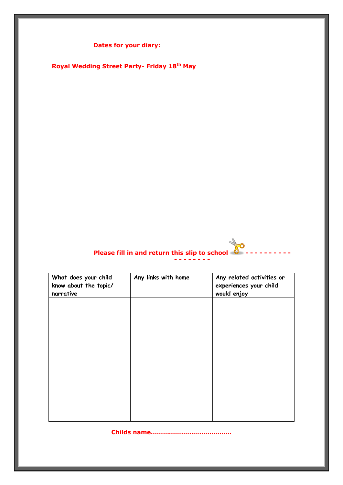**Dates for your diary:**

**Royal Wedding Street Party- Friday 18th May**

# **Please fill in and return this slip to school - - - - - - - - - -**

|  |  |  | - - - - - - - - |  |
|--|--|--|-----------------|--|
|  |  |  |                 |  |

| What does your child<br>know about the topic/<br>narrative | Any links with home | Any related activities or<br>experiences your child<br>would enjoy |
|------------------------------------------------------------|---------------------|--------------------------------------------------------------------|
|                                                            |                     |                                                                    |
|                                                            |                     |                                                                    |
|                                                            |                     |                                                                    |
|                                                            |                     |                                                                    |
|                                                            |                     |                                                                    |

**Childs name………………………………….**